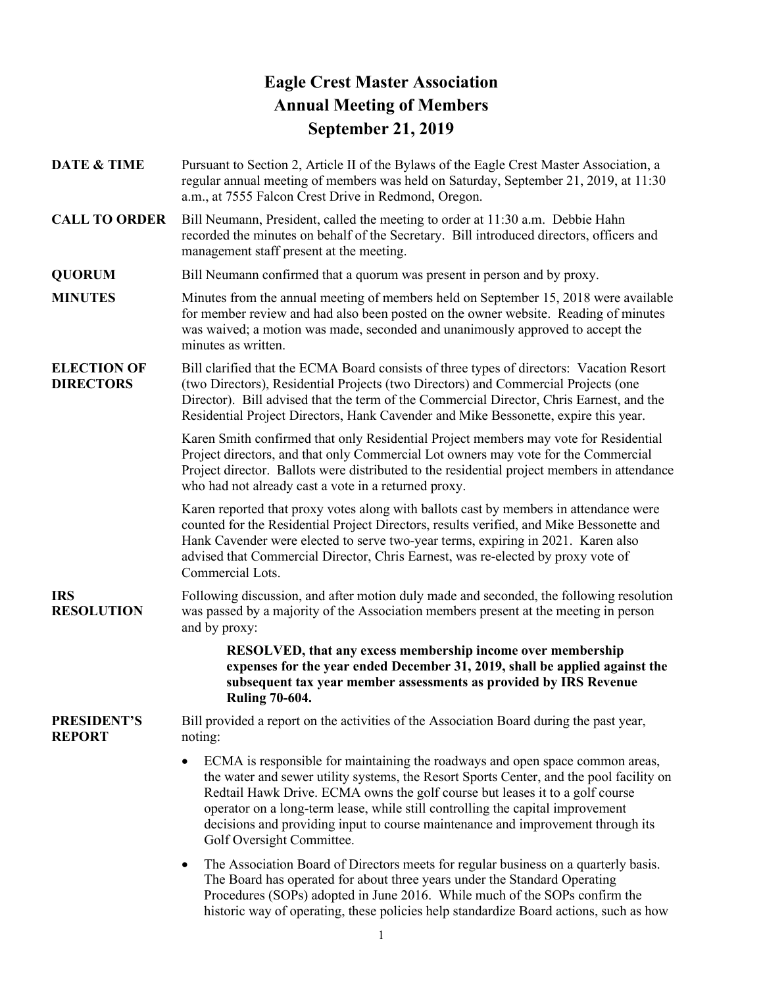# **Eagle Crest Master Association Annual Meeting of Members September 21, 2019**

- **DATE & TIME** Pursuant to Section 2, Article II of the Bylaws of the Eagle Crest Master Association, a regular annual meeting of members was held on Saturday, September 21, 2019, at 11:30 a.m., at 7555 Falcon Crest Drive in Redmond, Oregon.
- **CALL TO ORDER** Bill Neumann, President, called the meeting to order at 11:30 a.m. Debbie Hahn recorded the minutes on behalf of the Secretary. Bill introduced directors, officers and management staff present at the meeting.

**QUORUM** Bill Neumann confirmed that a quorum was present in person and by proxy.

- **MINUTES** Minutes from the annual meeting of members held on September 15, 2018 were available for member review and had also been posted on the owner website. Reading of minutes was waived; a motion was made, seconded and unanimously approved to accept the minutes as written.
- **ELECTION OF DIRECTORS** Bill clarified that the ECMA Board consists of three types of directors: Vacation Resort (two Directors), Residential Projects (two Directors) and Commercial Projects (one Director). Bill advised that the term of the Commercial Director, Chris Earnest, and the Residential Project Directors, Hank Cavender and Mike Bessonette, expire this year.

Karen Smith confirmed that only Residential Project members may vote for Residential Project directors, and that only Commercial Lot owners may vote for the Commercial Project director. Ballots were distributed to the residential project members in attendance who had not already cast a vote in a returned proxy.

Karen reported that proxy votes along with ballots cast by members in attendance were counted for the Residential Project Directors, results verified, and Mike Bessonette and Hank Cavender were elected to serve two-year terms, expiring in 2021. Karen also advised that Commercial Director, Chris Earnest, was re-elected by proxy vote of Commercial Lots.

### **IRS RESOLUTION** Following discussion, and after motion duly made and seconded, the following resolution was passed by a majority of the Association members present at the meeting in person and by proxy:

**RESOLVED, that any excess membership income over membership expenses for the year ended December 31, 2019, shall be applied against the subsequent tax year member assessments as provided by IRS Revenue Ruling 70-604.**

#### **PRESIDENT'S REPORT** Bill provided a report on the activities of the Association Board during the past year, noting:

- ECMA is responsible for maintaining the roadways and open space common areas, the water and sewer utility systems, the Resort Sports Center, and the pool facility on Redtail Hawk Drive. ECMA owns the golf course but leases it to a golf course operator on a long-term lease, while still controlling the capital improvement decisions and providing input to course maintenance and improvement through its Golf Oversight Committee.
- The Association Board of Directors meets for regular business on a quarterly basis. The Board has operated for about three years under the Standard Operating Procedures (SOPs) adopted in June 2016. While much of the SOPs confirm the historic way of operating, these policies help standardize Board actions, such as how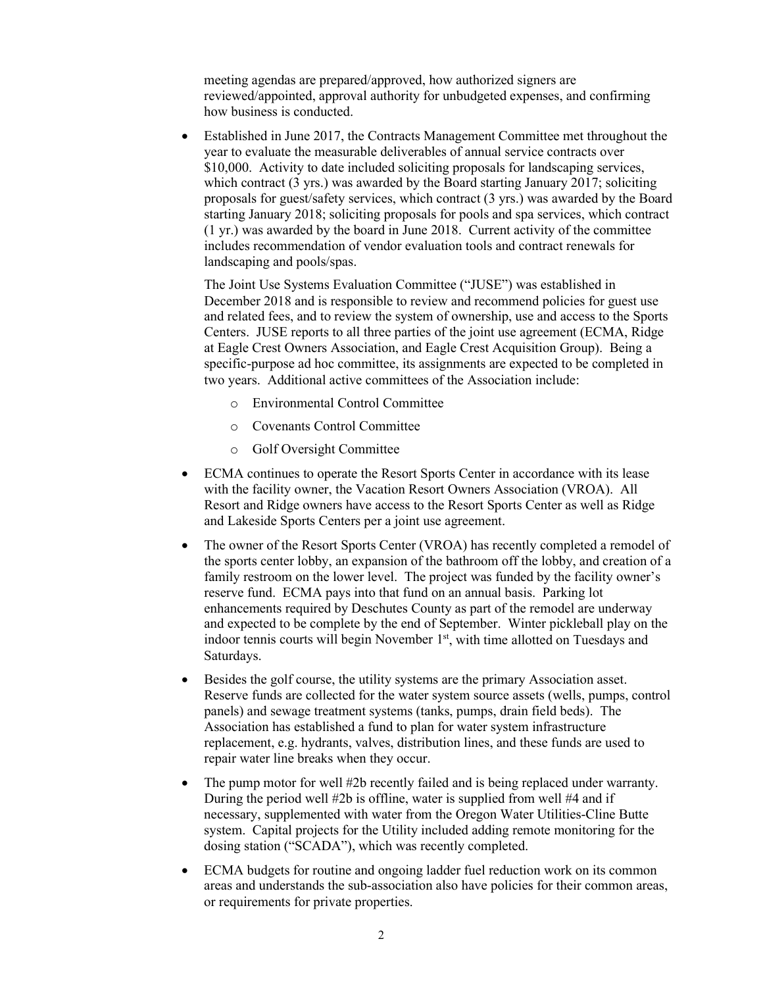meeting agendas are prepared/approved, how authorized signers are reviewed/appointed, approval authority for unbudgeted expenses, and confirming how business is conducted.

• Established in June 2017, the Contracts Management Committee met throughout the year to evaluate the measurable deliverables of annual service contracts over \$10,000. Activity to date included soliciting proposals for landscaping services, which contract (3 yrs.) was awarded by the Board starting January 2017; soliciting proposals for guest/safety services, which contract (3 yrs.) was awarded by the Board starting January 2018; soliciting proposals for pools and spa services, which contract (1 yr.) was awarded by the board in June 2018. Current activity of the committee includes recommendation of vendor evaluation tools and contract renewals for landscaping and pools/spas.

The Joint Use Systems Evaluation Committee ("JUSE") was established in December 2018 and is responsible to review and recommend policies for guest use and related fees, and to review the system of ownership, use and access to the Sports Centers. JUSE reports to all three parties of the joint use agreement (ECMA, Ridge at Eagle Crest Owners Association, and Eagle Crest Acquisition Group). Being a specific-purpose ad hoc committee, its assignments are expected to be completed in two years. Additional active committees of the Association include:

- o Environmental Control Committee
- o Covenants Control Committee
- o Golf Oversight Committee
- ECMA continues to operate the Resort Sports Center in accordance with its lease with the facility owner, the Vacation Resort Owners Association (VROA). All Resort and Ridge owners have access to the Resort Sports Center as well as Ridge and Lakeside Sports Centers per a joint use agreement.
- The owner of the Resort Sports Center (VROA) has recently completed a remodel of the sports center lobby, an expansion of the bathroom off the lobby, and creation of a family restroom on the lower level. The project was funded by the facility owner's reserve fund. ECMA pays into that fund on an annual basis. Parking lot enhancements required by Deschutes County as part of the remodel are underway and expected to be complete by the end of September. Winter pickleball play on the indoor tennis courts will begin November 1<sup>st</sup>, with time allotted on Tuesdays and Saturdays.
- Besides the golf course, the utility systems are the primary Association asset. Reserve funds are collected for the water system source assets (wells, pumps, control panels) and sewage treatment systems (tanks, pumps, drain field beds). The Association has established a fund to plan for water system infrastructure replacement, e.g. hydrants, valves, distribution lines, and these funds are used to repair water line breaks when they occur.
- The pump motor for well #2b recently failed and is being replaced under warranty. During the period well #2b is offline, water is supplied from well #4 and if necessary, supplemented with water from the Oregon Water Utilities-Cline Butte system. Capital projects for the Utility included adding remote monitoring for the dosing station ("SCADA"), which was recently completed.
- ECMA budgets for routine and ongoing ladder fuel reduction work on its common areas and understands the sub-association also have policies for their common areas, or requirements for private properties.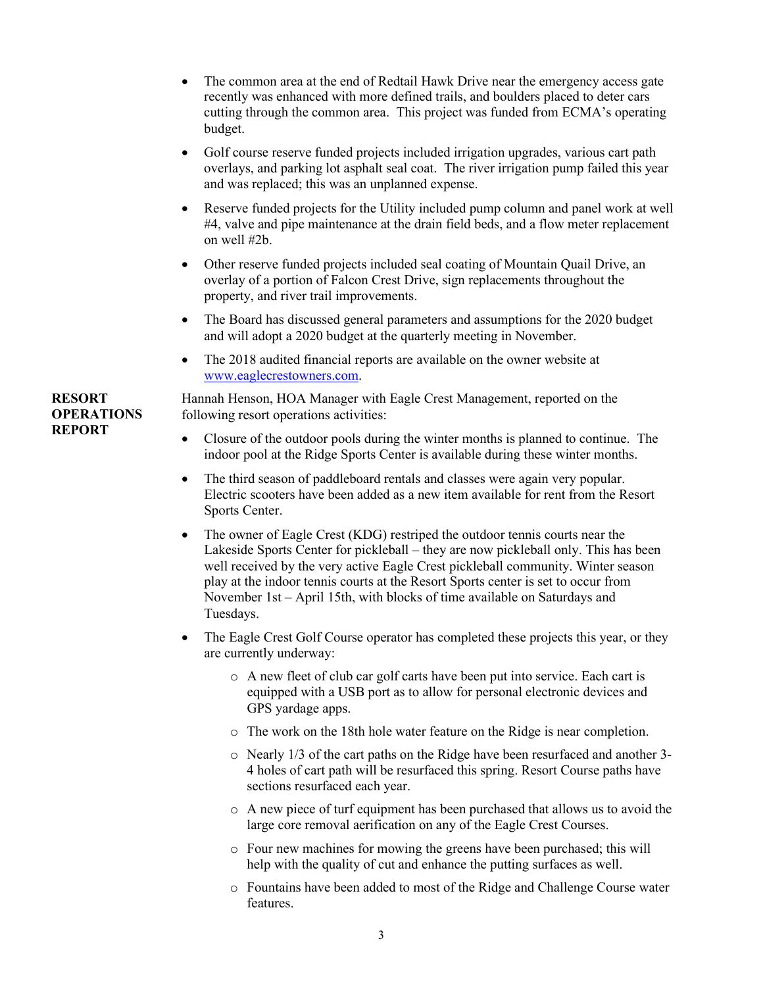- The common area at the end of Redtail Hawk Drive near the emergency access gate recently was enhanced with more defined trails, and boulders placed to deter cars cutting through the common area. This project was funded from ECMA's operating budget.
- Golf course reserve funded projects included irrigation upgrades, various cart path overlays, and parking lot asphalt seal coat. The river irrigation pump failed this year and was replaced; this was an unplanned expense.
- Reserve funded projects for the Utility included pump column and panel work at well #4, valve and pipe maintenance at the drain field beds, and a flow meter replacement on well #2b.
- Other reserve funded projects included seal coating of Mountain Quail Drive, an overlay of a portion of Falcon Crest Drive, sign replacements throughout the property, and river trail improvements.
- The Board has discussed general parameters and assumptions for the 2020 budget and will adopt a 2020 budget at the quarterly meeting in November.
- The 2018 audited financial reports are available on the owner website at [www.eaglecrestowners.com.](http://www.eaglecrestowners.com/)

Hannah Henson, HOA Manager with Eagle Crest Management, reported on the following resort operations activities:

- Closure of the outdoor pools during the winter months is planned to continue. The indoor pool at the Ridge Sports Center is available during these winter months.
- The third season of paddleboard rentals and classes were again very popular. Electric scooters have been added as a new item available for rent from the Resort Sports Center.
- The owner of Eagle Crest (KDG) restriped the outdoor tennis courts near the Lakeside Sports Center for pickleball – they are now pickleball only. This has been well received by the very active Eagle Crest pickleball community. Winter season play at the indoor tennis courts at the Resort Sports center is set to occur from November 1st – April 15th, with blocks of time available on Saturdays and Tuesdays.
- The Eagle Crest Golf Course operator has completed these projects this year, or they are currently underway:
	- o A new fleet of club car golf carts have been put into service. Each cart is equipped with a USB port as to allow for personal electronic devices and GPS yardage apps.
	- o The work on the 18th hole water feature on the Ridge is near completion.
	- o Nearly 1/3 of the cart paths on the Ridge have been resurfaced and another 3- 4 holes of cart path will be resurfaced this spring. Resort Course paths have sections resurfaced each year.
	- o A new piece of turf equipment has been purchased that allows us to avoid the large core removal aerification on any of the Eagle Crest Courses.
	- o Four new machines for mowing the greens have been purchased; this will help with the quality of cut and enhance the putting surfaces as well.
	- o Fountains have been added to most of the Ridge and Challenge Course water features.

## **RESORT OPERATIONS REPORT**